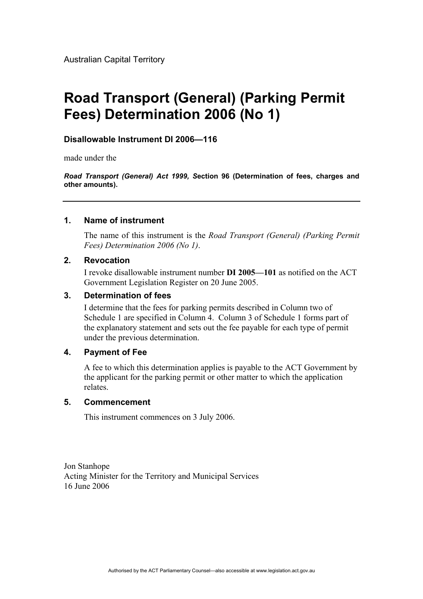# **Road Transport (General) (Parking Permit Fees) Determination 2006 (No 1)**

## **Disallowable Instrument DI 2006—116**

made under the

*Road Transport (General) Act 1999, S***ection 96 (Determination of fees, charges and other amounts).** 

### **1. Name of instrument**

The name of this instrument is the *Road Transport (General) (Parking Permit Fees) Determination 2006 (No 1)*.

## **2. Revocation**

I revoke disallowable instrument number **DI 2005—101** as notified on the ACT Government Legislation Register on 20 June 2005.

## **3. Determination of fees**

I determine that the fees for parking permits described in Column two of Schedule 1 are specified in Column 4. Column 3 of Schedule 1 forms part of the explanatory statement and sets out the fee payable for each type of permit under the previous determination.

### **4. Payment of Fee**

A fee to which this determination applies is payable to the ACT Government by the applicant for the parking permit or other matter to which the application relates.

### **5. Commencement**

This instrument commences on 3 July 2006.

Jon Stanhope Acting Minister for the Territory and Municipal Services 16 June 2006